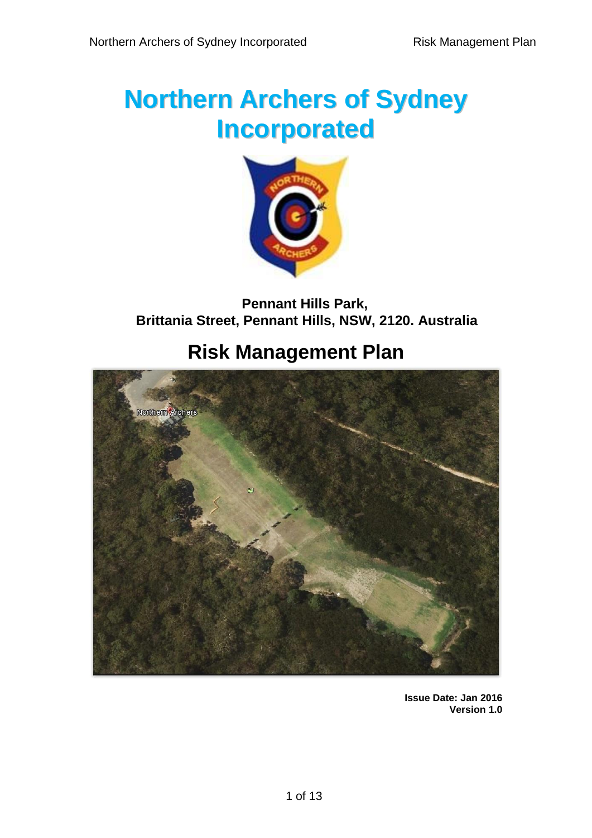# **Northern Archers of Sydney Incorporated**



## **Pennant Hills Park, Brittania Street, Pennant Hills, NSW, 2120. Australia**

# **Risk Management Plan**



**Issue Date: Jan 2016 Version 1.0**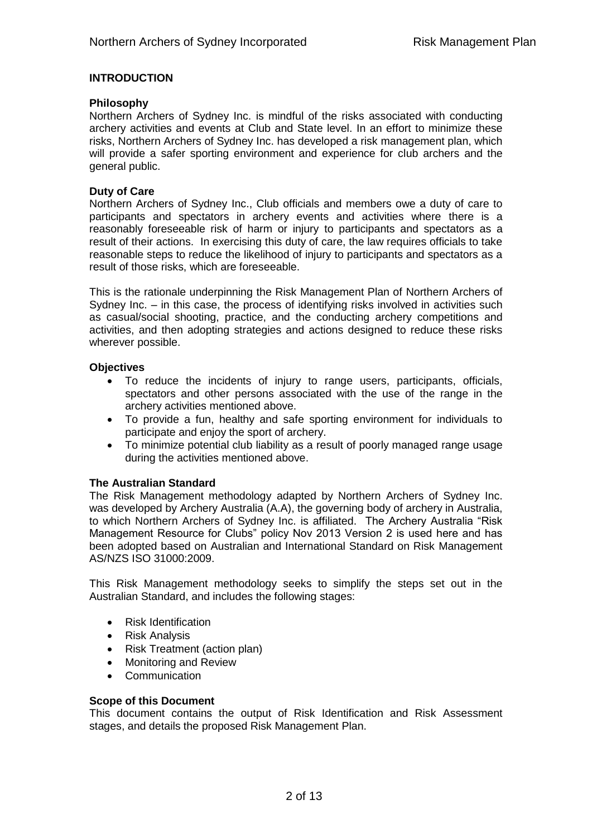#### **INTRODUCTION**

#### **Philosophy**

Northern Archers of Sydney Inc. is mindful of the risks associated with conducting archery activities and events at Club and State level. In an effort to minimize these risks, Northern Archers of Sydney Inc. has developed a risk management plan, which will provide a safer sporting environment and experience for club archers and the general public.

#### **Duty of Care**

Northern Archers of Sydney Inc., Club officials and members owe a duty of care to participants and spectators in archery events and activities where there is a reasonably foreseeable risk of harm or injury to participants and spectators as a result of their actions. In exercising this duty of care, the law requires officials to take reasonable steps to reduce the likelihood of injury to participants and spectators as a result of those risks, which are foreseeable.

This is the rationale underpinning the Risk Management Plan of Northern Archers of Sydney Inc. – in this case, the process of identifying risks involved in activities such as casual/social shooting, practice, and the conducting archery competitions and activities, and then adopting strategies and actions designed to reduce these risks wherever possible.

#### **Objectives**

- To reduce the incidents of injury to range users, participants, officials, spectators and other persons associated with the use of the range in the archery activities mentioned above.
- To provide a fun, healthy and safe sporting environment for individuals to participate and enjoy the sport of archery.
- To minimize potential club liability as a result of poorly managed range usage during the activities mentioned above.

#### **The Australian Standard**

The Risk Management methodology adapted by Northern Archers of Sydney Inc. was developed by Archery Australia (A.A), the governing body of archery in Australia, to which Northern Archers of Sydney Inc. is affiliated. The Archery Australia "Risk Management Resource for Clubs" policy Nov 2013 Version 2 is used here and has been adopted based on Australian and International Standard on Risk Management AS/NZS ISO 31000:2009.

This Risk Management methodology seeks to simplify the steps set out in the Australian Standard, and includes the following stages:

- Risk Identification
- Risk Analysis
- Risk Treatment (action plan)
- Monitoring and Review
- Communication

#### **Scope of this Document**

This document contains the output of Risk Identification and Risk Assessment stages, and details the proposed Risk Management Plan.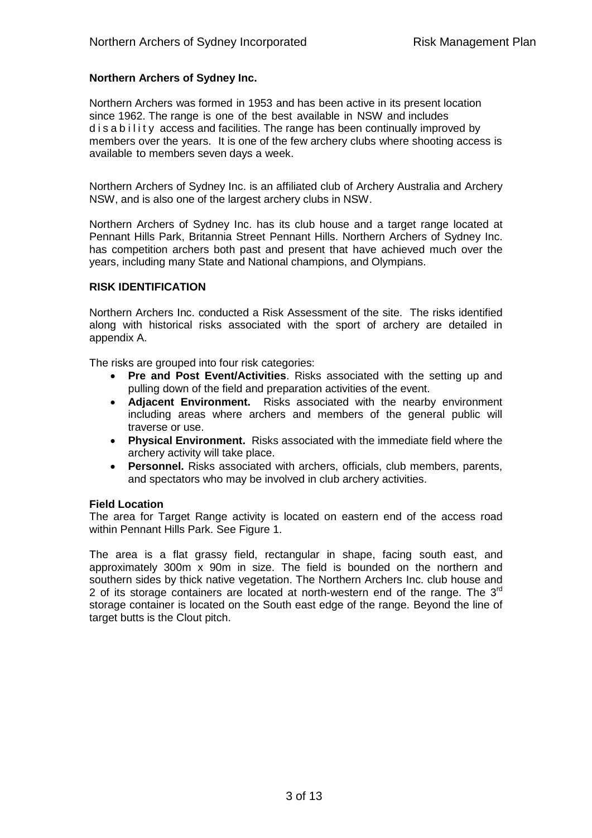#### **Northern Archers of Sydney Inc.**

Northern Archers was formed in 1953 and has been active in its present location since 1962. The range is one of the best available in NSW and includes d is a b ility access and facilities. The range has been continually improved by members over the years. It is one of the few archery clubs where shooting access is available to members seven days a week.

Northern Archers of Sydney Inc. is an affiliated club of Archery Australia and Archery NSW, and is also one of the largest archery clubs in NSW.

Northern Archers of Sydney Inc. has its club house and a target range located at Pennant Hills Park, Britannia Street Pennant Hills. Northern Archers of Sydney Inc. has competition archers both past and present that have achieved much over the years, including many State and National champions, and Olympians.

#### **RISK IDENTIFICATION**

Northern Archers Inc. conducted a Risk Assessment of the site. The risks identified along with historical risks associated with the sport of archery are detailed in appendix A.

The risks are grouped into four risk categories:

- **Pre and Post Event/Activities**. Risks associated with the setting up and pulling down of the field and preparation activities of the event.
- **Adjacent Environment.** Risks associated with the nearby environment including areas where archers and members of the general public will traverse or use.
- **Physical Environment.** Risks associated with the immediate field where the archery activity will take place.
- **Personnel.** Risks associated with archers, officials, club members, parents, and spectators who may be involved in club archery activities.

#### **Field Location**

The area for Target Range activity is located on eastern end of the access road within Pennant Hills Park. See Figure 1.

The area is a flat grassy field, rectangular in shape, facing south east, and approximately 300m x 90m in size. The field is bounded on the northern and southern sides by thick native vegetation. The Northern Archers Inc. club house and 2 of its storage containers are located at north-western end of the range. The  $3<sup>rd</sup>$ storage container is located on the South east edge of the range. Beyond the line of target butts is the Clout pitch.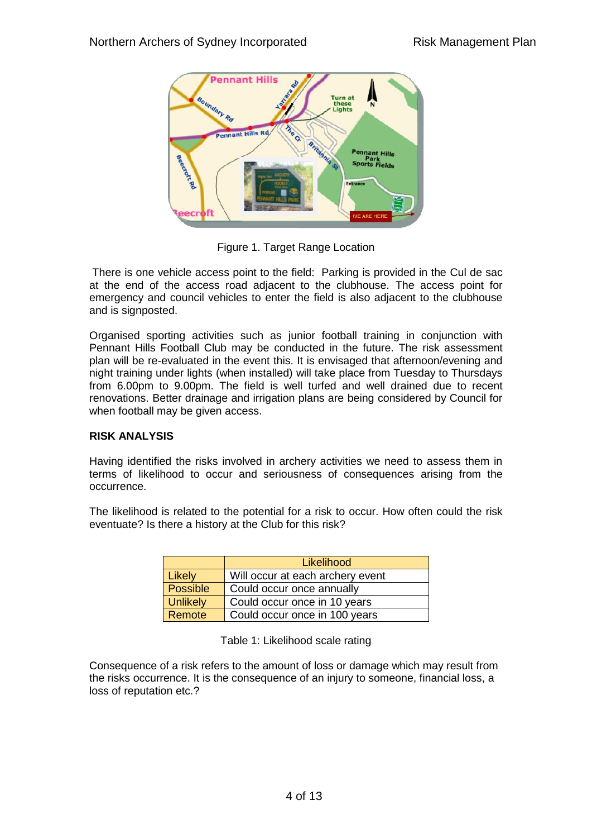

Figure 1. Target Range Location

There is one vehicle access point to the field: Parking is provided in the Cul de sac at the end of the access road adjacent to the clubhouse. The access point for emergency and council vehicles to enter the field is also adjacent to the clubhouse and is signposted.

Organised sporting activities such as junior football training in conjunction with Pennant Hills Football Club may be conducted in the future. The risk assessment plan will be re-evaluated in the event this. It is envisaged that afternoon/evening and night training under lights (when installed) will take place from Tuesday to Thursdays from 6.00pm to 9.00pm. The field is well turfed and well drained due to recent renovations. Better drainage and irrigation plans are being considered by Council for when football may be given access.

#### **RISK ANALYSIS**

Having identified the risks involved in archery activities we need to assess them in terms of likelihood to occur and seriousness of consequences arising from the occurrence.

The likelihood is related to the potential for a risk to occur. How often could the risk eventuate? Is there a history at the Club for this risk?

|          | Likelihood                       |
|----------|----------------------------------|
| Likely   | Will occur at each archery event |
| Possible | Could occur once annually        |
| Unlikely | Could occur once in 10 years     |
| Remote   | Could occur once in 100 years    |

Table 1: Likelihood scale rating

Consequence of a risk refers to the amount of loss or damage which may result from the risks occurrence. It is the consequence of an injury to someone, financial loss, a loss of reputation etc.?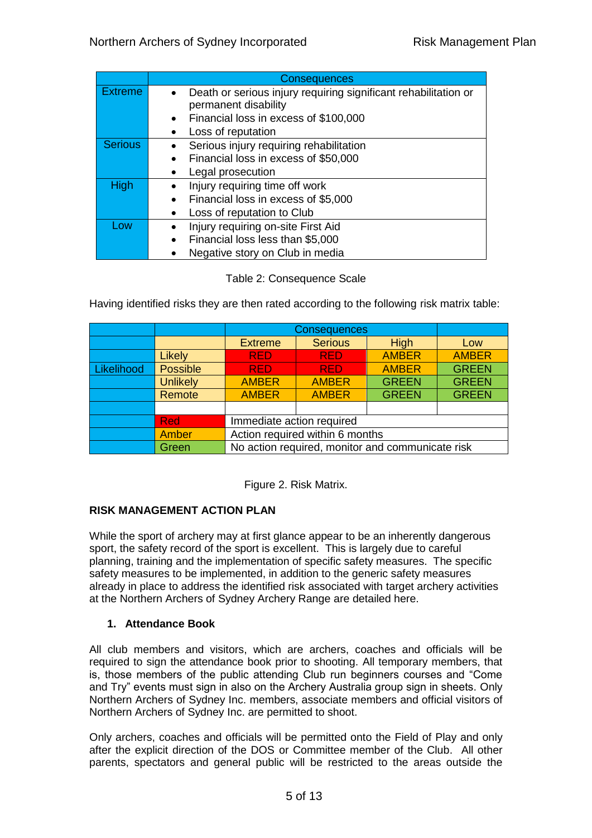|                | <b>Consequences</b>                                                                     |  |  |  |  |
|----------------|-----------------------------------------------------------------------------------------|--|--|--|--|
| <b>Extreme</b> | Death or serious injury requiring significant rehabilitation or<br>permanent disability |  |  |  |  |
|                | Financial loss in excess of \$100,000<br>$\bullet$                                      |  |  |  |  |
|                | Loss of reputation                                                                      |  |  |  |  |
| <b>Serious</b> | Serious injury requiring rehabilitation                                                 |  |  |  |  |
|                | Financial loss in excess of \$50,000                                                    |  |  |  |  |
|                | Legal prosecution<br>٠                                                                  |  |  |  |  |
| High           | Injury requiring time off work                                                          |  |  |  |  |
|                | Financial loss in excess of \$5,000                                                     |  |  |  |  |
|                | Loss of reputation to Club                                                              |  |  |  |  |
| Low            | Injury requiring on-site First Aid                                                      |  |  |  |  |
|                | Financial loss less than \$5,000                                                        |  |  |  |  |
|                | Negative story on Club in media                                                         |  |  |  |  |

#### Table 2: Consequence Scale

Having identified risks they are then rated according to the following risk matrix table:

|            |                 | Consequences                                     |                |              |              |
|------------|-----------------|--------------------------------------------------|----------------|--------------|--------------|
|            |                 | <b>Extreme</b>                                   | <b>Serious</b> | High         | Low          |
|            | Likely          | <b>RED</b>                                       | <b>RED</b>     | <b>AMBER</b> | <b>AMBER</b> |
| Likelihood | <b>Possible</b> | <b>RED</b>                                       | <b>RED</b>     | <b>AMBER</b> | <b>GREEN</b> |
|            | <b>Unlikely</b> | <b>AMBER</b>                                     | <b>AMBER</b>   | <b>GREEN</b> | <b>GREEN</b> |
|            | Remote          | <b>AMBER</b>                                     | <b>AMBER</b>   | <b>GREEN</b> | <b>GREEN</b> |
|            |                 |                                                  |                |              |              |
|            | <b>Red</b>      | Immediate action required                        |                |              |              |
|            | Amber           | Action required within 6 months                  |                |              |              |
|            | Green           | No action required, monitor and communicate risk |                |              |              |

Figure 2. Risk Matrix.

#### **RISK MANAGEMENT ACTION PLAN**

While the sport of archery may at first glance appear to be an inherently dangerous sport, the safety record of the sport is excellent. This is largely due to careful planning, training and the implementation of specific safety measures. The specific safety measures to be implemented, in addition to the generic safety measures already in place to address the identified risk associated with target archery activities at the Northern Archers of Sydney Archery Range are detailed here.

#### **1. Attendance Book**

All club members and visitors, which are archers, coaches and officials will be required to sign the attendance book prior to shooting. All temporary members, that is, those members of the public attending Club run beginners courses and "Come and Try" events must sign in also on the Archery Australia group sign in sheets. Only Northern Archers of Sydney Inc. members, associate members and official visitors of Northern Archers of Sydney Inc. are permitted to shoot.

Only archers, coaches and officials will be permitted onto the Field of Play and only after the explicit direction of the DOS or Committee member of the Club. All other parents, spectators and general public will be restricted to the areas outside the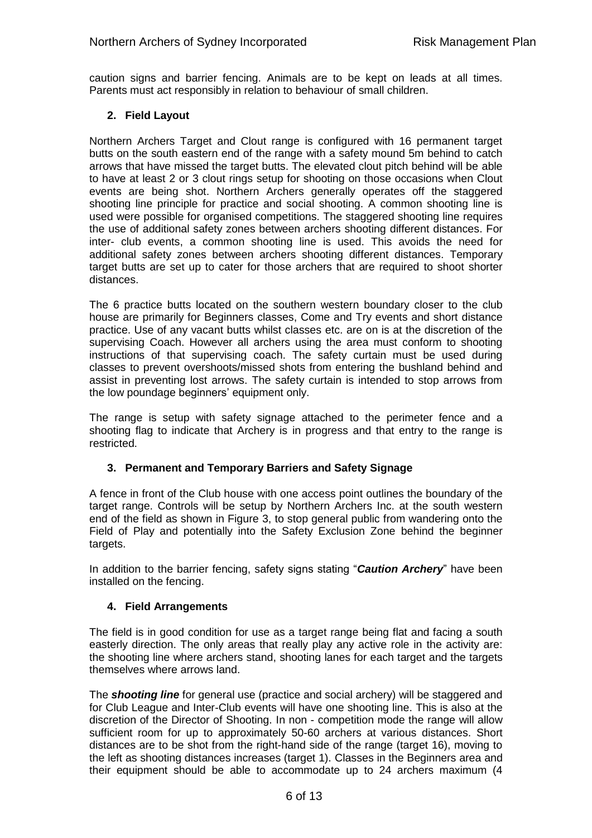caution signs and barrier fencing. Animals are to be kept on leads at all times. Parents must act responsibly in relation to behaviour of small children.

#### **2. Field Layout**

Northern Archers Target and Clout range is configured with 16 permanent target butts on the south eastern end of the range with a safety mound 5m behind to catch arrows that have missed the target butts. The elevated clout pitch behind will be able to have at least 2 or 3 clout rings setup for shooting on those occasions when Clout events are being shot. Northern Archers generally operates off the staggered shooting line principle for practice and social shooting. A common shooting line is used were possible for organised competitions. The staggered shooting line requires the use of additional safety zones between archers shooting different distances. For inter- club events, a common shooting line is used. This avoids the need for additional safety zones between archers shooting different distances. Temporary target butts are set up to cater for those archers that are required to shoot shorter distances.

The 6 practice butts located on the southern western boundary closer to the club house are primarily for Beginners classes, Come and Try events and short distance practice. Use of any vacant butts whilst classes etc. are on is at the discretion of the supervising Coach. However all archers using the area must conform to shooting instructions of that supervising coach. The safety curtain must be used during classes to prevent overshoots/missed shots from entering the bushland behind and assist in preventing lost arrows. The safety curtain is intended to stop arrows from the low poundage beginners' equipment only.

The range is setup with safety signage attached to the perimeter fence and a shooting flag to indicate that Archery is in progress and that entry to the range is restricted.

#### **3. Permanent and Temporary Barriers and Safety Signage**

A fence in front of the Club house with one access point outlines the boundary of the target range. Controls will be setup by Northern Archers Inc. at the south western end of the field as shown in Figure 3, to stop general public from wandering onto the Field of Play and potentially into the Safety Exclusion Zone behind the beginner targets.

In addition to the barrier fencing, safety signs stating "*Caution Archery*" have been installed on the fencing.

#### **4. Field Arrangements**

The field is in good condition for use as a target range being flat and facing a south easterly direction. The only areas that really play any active role in the activity are: the shooting line where archers stand, shooting lanes for each target and the targets themselves where arrows land.

The *shooting line* for general use (practice and social archery) will be staggered and for Club League and Inter-Club events will have one shooting line. This is also at the discretion of the Director of Shooting. In non - competition mode the range will allow sufficient room for up to approximately 50-60 archers at various distances. Short distances are to be shot from the right-hand side of the range (target 16), moving to the left as shooting distances increases (target 1). Classes in the Beginners area and their equipment should be able to accommodate up to 24 archers maximum (4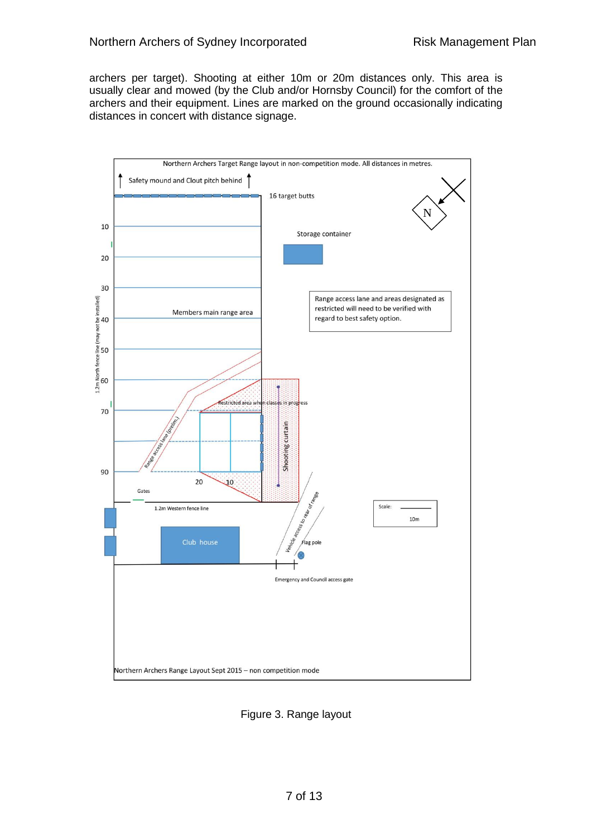archers per target). Shooting at either 10m or 20m distances only. This area is usually clear and mowed (by the Club and/or Hornsby Council) for the comfort of the archers and their equipment. Lines are marked on the ground occasionally indicating distances in concert with distance signage.



Figure 3. Range layout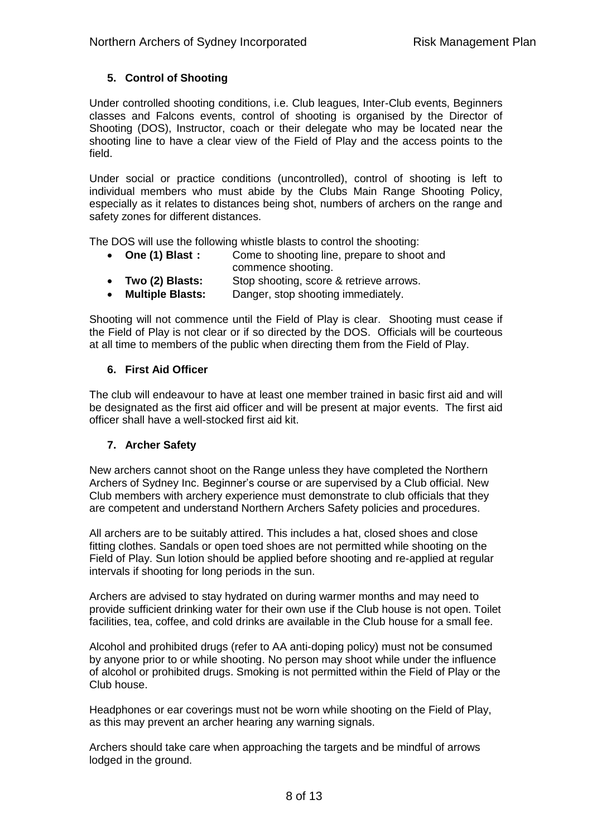#### **5. Control of Shooting**

Under controlled shooting conditions, i.e. Club leagues, Inter-Club events, Beginners classes and Falcons events, control of shooting is organised by the Director of Shooting (DOS), Instructor, coach or their delegate who may be located near the shooting line to have a clear view of the Field of Play and the access points to the field.

Under social or practice conditions (uncontrolled), control of shooting is left to individual members who must abide by the Clubs Main Range Shooting Policy, especially as it relates to distances being shot, numbers of archers on the range and safety zones for different distances.

The DOS will use the following whistle blasts to control the shooting:

- **One (1) Blast :** Come to shooting line, prepare to shoot and commence shooting.
- **Two (2) Blasts:** Stop shooting, score & retrieve arrows.
- **Multiple Blasts:** Danger, stop shooting immediately.

Shooting will not commence until the Field of Play is clear. Shooting must cease if the Field of Play is not clear or if so directed by the DOS. Officials will be courteous at all time to members of the public when directing them from the Field of Play.

#### **6. First Aid Officer**

The club will endeavour to have at least one member trained in basic first aid and will be designated as the first aid officer and will be present at major events. The first aid officer shall have a well-stocked first aid kit.

#### **7. Archer Safety**

New archers cannot shoot on the Range unless they have completed the Northern Archers of Sydney Inc. Beginner's course or are supervised by a Club official. New Club members with archery experience must demonstrate to club officials that they are competent and understand Northern Archers Safety policies and procedures.

All archers are to be suitably attired. This includes a hat, closed shoes and close fitting clothes. Sandals or open toed shoes are not permitted while shooting on the Field of Play. Sun lotion should be applied before shooting and re-applied at regular intervals if shooting for long periods in the sun.

Archers are advised to stay hydrated on during warmer months and may need to provide sufficient drinking water for their own use if the Club house is not open. Toilet facilities, tea, coffee, and cold drinks are available in the Club house for a small fee.

Alcohol and prohibited drugs (refer to AA anti-doping policy) must not be consumed by anyone prior to or while shooting. No person may shoot while under the influence of alcohol or prohibited drugs. Smoking is not permitted within the Field of Play or the Club house.

Headphones or ear coverings must not be worn while shooting on the Field of Play, as this may prevent an archer hearing any warning signals.

Archers should take care when approaching the targets and be mindful of arrows lodged in the ground.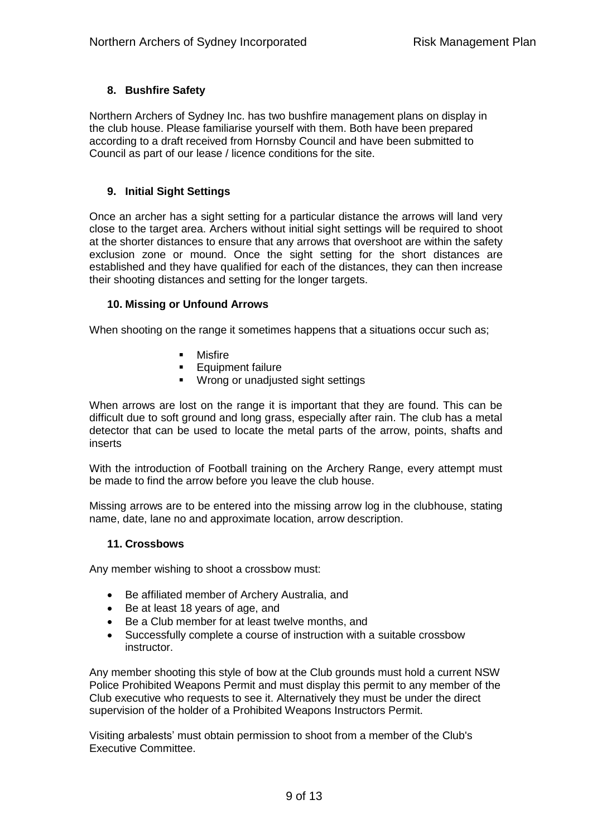#### **8. Bushfire Safety**

Northern Archers of Sydney Inc. has two bushfire management plans on display in the club house. Please familiarise yourself with them. Both have been prepared according to a draft received from Hornsby Council and have been submitted to Council as part of our lease / licence conditions for the site.

#### **9. Initial Sight Settings**

Once an archer has a sight setting for a particular distance the arrows will land very close to the target area. Archers without initial sight settings will be required to shoot at the shorter distances to ensure that any arrows that overshoot are within the safety exclusion zone or mound. Once the sight setting for the short distances are established and they have qualified for each of the distances, they can then increase their shooting distances and setting for the longer targets.

#### **10. Missing or Unfound Arrows**

When shooting on the range it sometimes happens that a situations occur such as;

- **•** Misfire
- **Equipment failure**
- **•** Wrong or unadjusted sight settings

When arrows are lost on the range it is important that they are found. This can be difficult due to soft ground and long grass, especially after rain. The club has a metal detector that can be used to locate the metal parts of the arrow, points, shafts and inserts

With the introduction of Football training on the Archery Range, every attempt must be made to find the arrow before you leave the club house.

Missing arrows are to be entered into the missing arrow log in the clubhouse, stating name, date, lane no and approximate location, arrow description.

#### **11. Crossbows**

Any member wishing to shoot a crossbow must:

- Be affiliated member of Archery Australia, and
- Be at least 18 years of age, and
- Be a Club member for at least twelve months, and
- Successfully complete a course of instruction with a suitable crossbow instructor.

Any member shooting this style of bow at the Club grounds must hold a current NSW Police Prohibited Weapons Permit and must display this permit to any member of the Club executive who requests to see it. Alternatively they must be under the direct supervision of the holder of a Prohibited Weapons Instructors Permit.

Visiting arbalests' must obtain permission to shoot from a member of the Club's Executive Committee.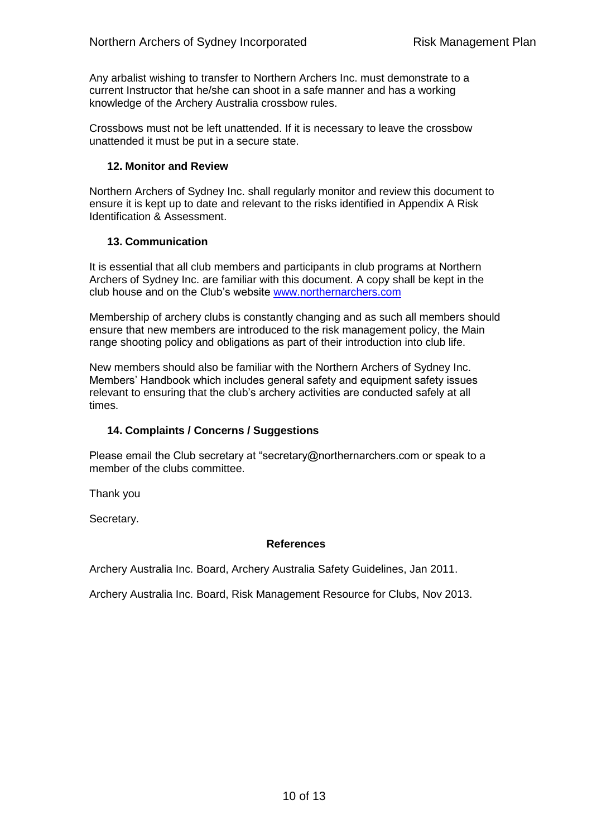Any arbalist wishing to transfer to Northern Archers Inc. must demonstrate to a current Instructor that he/she can shoot in a safe manner and has a working knowledge of the Archery Australia crossbow rules.

Crossbows must not be left unattended. If it is necessary to leave the crossbow unattended it must be put in a secure state.

#### **12. Monitor and Review**

Northern Archers of Sydney Inc. shall regularly monitor and review this document to ensure it is kept up to date and relevant to the risks identified in Appendix A Risk Identification & Assessment.

#### **13. Communication**

It is essential that all club members and participants in club programs at Northern Archers of Sydney Inc. are familiar with this document. A copy shall be kept in the club house and on the Club's website [www.northernarchers.com](http://www.northernarchers.com/)

Membership of archery clubs is constantly changing and as such all members should ensure that new members are introduced to the risk management policy, the Main range shooting policy and obligations as part of their introduction into club life.

New members should also be familiar with the Northern Archers of Sydney Inc. Members' Handbook which includes general safety and equipment safety issues relevant to ensuring that the club's archery activities are conducted safely at all times.

#### **14. Complaints / Concerns / Suggestions**

Please email the Club secretary at "secretary@northernarchers.com or speak to a member of the clubs committee.

Thank you

Secretary.

#### **References**

Archery Australia Inc. Board, Archery Australia Safety Guidelines, Jan 2011.

Archery Australia Inc. Board, Risk Management Resource for Clubs, Nov 2013.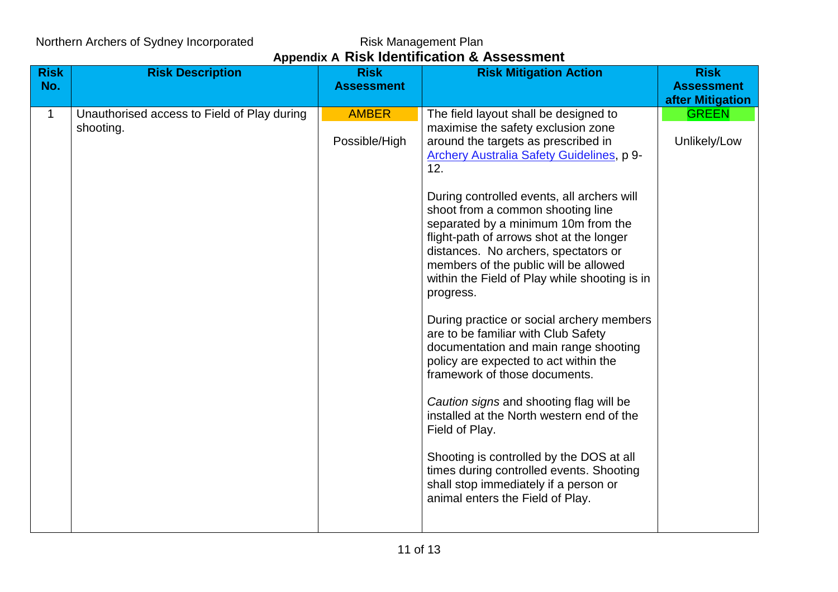## Northern Archers of Sydney Incorporated

Risk Management Plan<br>**Appendix A Risk Identification & Assessment** 

| <b>Risk</b> | <b>Risk Description</b>                     | <b>Risk</b>       | <b>Risk Mitigation Action</b>                                                        | <b>Risk</b>       |
|-------------|---------------------------------------------|-------------------|--------------------------------------------------------------------------------------|-------------------|
| No.         |                                             | <b>Assessment</b> |                                                                                      | <b>Assessment</b> |
|             |                                             |                   |                                                                                      | after Mitigation  |
| 1           | Unauthorised access to Field of Play during | <b>AMBER</b>      | The field layout shall be designed to                                                | <b>GREEN</b>      |
|             | shooting.                                   |                   | maximise the safety exclusion zone                                                   |                   |
|             |                                             | Possible/High     | around the targets as prescribed in                                                  | Unlikely/Low      |
|             |                                             |                   | Archery Australia Safety Guidelines, p 9-<br>12.                                     |                   |
|             |                                             |                   |                                                                                      |                   |
|             |                                             |                   | During controlled events, all archers will                                           |                   |
|             |                                             |                   | shoot from a common shooting line                                                    |                   |
|             |                                             |                   | separated by a minimum 10m from the                                                  |                   |
|             |                                             |                   | flight-path of arrows shot at the longer<br>distances. No archers, spectators or     |                   |
|             |                                             |                   | members of the public will be allowed                                                |                   |
|             |                                             |                   | within the Field of Play while shooting is in                                        |                   |
|             |                                             |                   | progress.                                                                            |                   |
|             |                                             |                   | During practice or social archery members                                            |                   |
|             |                                             |                   | are to be familiar with Club Safety                                                  |                   |
|             |                                             |                   | documentation and main range shooting<br>policy are expected to act within the       |                   |
|             |                                             |                   | framework of those documents.                                                        |                   |
|             |                                             |                   |                                                                                      |                   |
|             |                                             |                   | Caution signs and shooting flag will be<br>installed at the North western end of the |                   |
|             |                                             |                   | Field of Play.                                                                       |                   |
|             |                                             |                   |                                                                                      |                   |
|             |                                             |                   | Shooting is controlled by the DOS at all<br>times during controlled events. Shooting |                   |
|             |                                             |                   | shall stop immediately if a person or                                                |                   |
|             |                                             |                   | animal enters the Field of Play.                                                     |                   |
|             |                                             |                   |                                                                                      |                   |
|             |                                             |                   |                                                                                      |                   |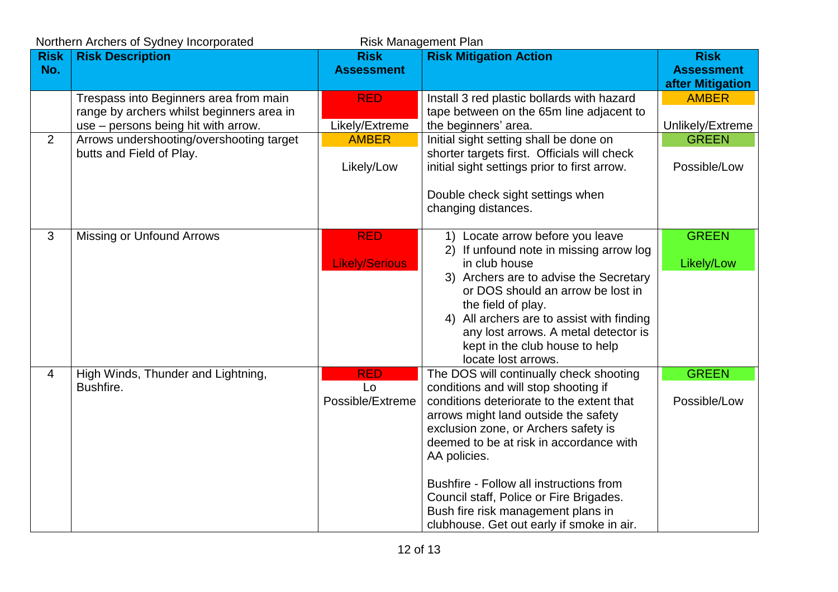| Northern Archers of Sydney Incorporated<br><b>Risk Management Plan</b> |                                           |                        |                                                                                   |                   |
|------------------------------------------------------------------------|-------------------------------------------|------------------------|-----------------------------------------------------------------------------------|-------------------|
| <b>Risk</b>                                                            | <b>Risk Description</b>                   | <b>Risk</b>            | <b>Risk Mitigation Action</b>                                                     | <b>Risk</b>       |
| No.                                                                    |                                           | <b>Assessment</b>      |                                                                                   | <b>Assessment</b> |
|                                                                        |                                           |                        |                                                                                   | after Mitigation  |
|                                                                        | Trespass into Beginners area from main    | <b>RED</b>             | Install 3 red plastic bollards with hazard                                        | <b>AMBER</b>      |
|                                                                        | range by archers whilst beginners area in |                        | tape between on the 65m line adjacent to                                          |                   |
|                                                                        | use – persons being hit with arrow.       | Likely/Extreme         | the beginners' area.                                                              | Unlikely/Extreme  |
| 2                                                                      | Arrows undershooting/overshooting target  | <b>AMBER</b>           | Initial sight setting shall be done on                                            | <b>GREEN</b>      |
|                                                                        | butts and Field of Play.                  |                        | shorter targets first. Officials will check                                       |                   |
|                                                                        |                                           | Likely/Low             | initial sight settings prior to first arrow.                                      | Possible/Low      |
|                                                                        |                                           |                        |                                                                                   |                   |
|                                                                        |                                           |                        | Double check sight settings when<br>changing distances.                           |                   |
|                                                                        |                                           |                        |                                                                                   |                   |
| 3                                                                      | <b>Missing or Unfound Arrows</b>          | <b>RED</b>             | 1) Locate arrow before you leave                                                  | <b>GREEN</b>      |
|                                                                        |                                           |                        | 2) If unfound note in missing arrow log                                           |                   |
|                                                                        |                                           | <b>Likely/Serious</b>  | in club house                                                                     | Likely/Low        |
|                                                                        |                                           |                        | 3) Archers are to advise the Secretary                                            |                   |
|                                                                        |                                           |                        | or DOS should an arrow be lost in                                                 |                   |
|                                                                        |                                           |                        | the field of play.                                                                |                   |
|                                                                        |                                           |                        | 4) All archers are to assist with finding                                         |                   |
|                                                                        |                                           |                        | any lost arrows. A metal detector is                                              |                   |
|                                                                        |                                           |                        | kept in the club house to help                                                    |                   |
|                                                                        |                                           |                        | locate lost arrows.                                                               |                   |
| $\overline{4}$                                                         | High Winds, Thunder and Lightning,        | <b>RED</b>             | The DOS will continually check shooting                                           | <b>GREEN</b>      |
|                                                                        | Bushfire.                                 | Lo<br>Possible/Extreme | conditions and will stop shooting if<br>conditions deteriorate to the extent that | Possible/Low      |
|                                                                        |                                           |                        | arrows might land outside the safety                                              |                   |
|                                                                        |                                           |                        | exclusion zone, or Archers safety is                                              |                   |
|                                                                        |                                           |                        | deemed to be at risk in accordance with                                           |                   |
|                                                                        |                                           |                        | AA policies.                                                                      |                   |
|                                                                        |                                           |                        |                                                                                   |                   |
|                                                                        |                                           |                        | Bushfire - Follow all instructions from                                           |                   |
|                                                                        |                                           |                        | Council staff, Police or Fire Brigades.                                           |                   |
|                                                                        |                                           |                        | Bush fire risk management plans in                                                |                   |
|                                                                        |                                           |                        | clubhouse. Get out early if smoke in air.                                         |                   |